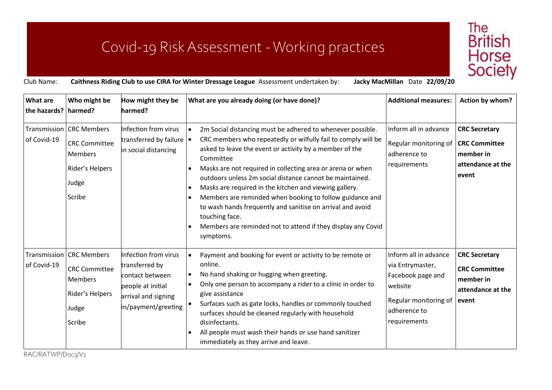## Covid-19 Risk Assessment -Working practices



Club Name: **Caithness Riding Club to use CIRA for Winter Dressage League** Assessment undertaken by: **Jacky MacMillan** Date **22/09/20**

| <b>What are</b><br>the hazards? harmed? | Who might be                                                                                               | How might they be<br>harmed?                                                                                                 | What are you already doing (or have done)?                                                                                                                                                                                                                                                                                                                                                                                                                                                                                                                                                                                                                           | <b>Additional measures:</b>                                                                                                        | Action by whom?                                                                         |
|-----------------------------------------|------------------------------------------------------------------------------------------------------------|------------------------------------------------------------------------------------------------------------------------------|----------------------------------------------------------------------------------------------------------------------------------------------------------------------------------------------------------------------------------------------------------------------------------------------------------------------------------------------------------------------------------------------------------------------------------------------------------------------------------------------------------------------------------------------------------------------------------------------------------------------------------------------------------------------|------------------------------------------------------------------------------------------------------------------------------------|-----------------------------------------------------------------------------------------|
| of Covid-19                             | Transmission   CRC Members<br><b>CRC Committee</b><br><b>Members</b><br>Rider's Helpers<br>Judge<br>Scribe | Infection from virus<br>transferred by failure $\bullet$<br>in social distancing                                             | 2m Social distancing must be adhered to whenever possible.<br>$\bullet$<br>CRC members who repeatedly or wilfully fail to comply will be<br>asked to leave the event or activity by a member of the<br>Committee<br>Masks are not required in collecting area or arena or when<br>$\bullet$<br>outdoors unless 2m social distance cannot be maintained.<br>Masks are required in the kitchen and viewing gallery.<br>$\bullet$<br>Members are reminded when booking to follow guidance and<br>$\bullet$<br>to wash hands frequently and sanitise on arrival and avoid<br>touching face.<br>Members are reminded not to attend if they display any Covid<br>symptoms. | Inform all in advance<br>Regular monitoring of<br>adherence to<br>requirements                                                     | <b>CRC Secretary</b><br><b>CRC Committee</b><br>member in<br>attendance at the<br>event |
| of Covid-19                             | Transmission   CRC Members<br><b>CRC Committee</b><br><b>Members</b><br>Rider's Helpers<br>Judge<br>Scribe | Infection from virus<br>transferred by<br>contact between<br>people at initial<br>arrival and signing<br>in/payment/greeting | Payment and booking for event or activity to be remote or<br>$\bullet$<br>online.<br>No hand shaking or hugging when greeting.<br>Only one person to accompany a rider to a clinic in order to<br>give assistance<br>Surfaces such as gate locks, handles or commonly touched<br>surfaces should be cleaned regularly with household<br>disinfectants.<br>All people must wash their hands or use hand sanitizer<br>immediately as they arrive and leave.                                                                                                                                                                                                            | Inform all in advance<br>via Entrymaster,<br>Facebook page and<br>website<br>Regular monitoring of<br>adherence to<br>requirements | <b>CRC Secretary</b><br><b>CRC Committee</b><br>member in<br>attendance at the<br>event |

RAC/RATWP/Doc3/V1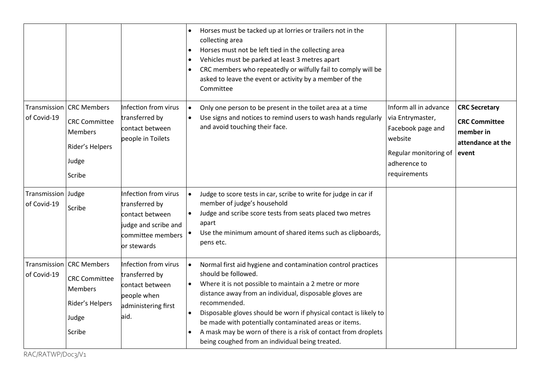|                                   |                                                                                                          |                                                                                                                       | Horses must be tacked up at lorries or trailers not in the<br>$\bullet$<br>collecting area<br>Horses must not be left tied in the collecting area<br>$\bullet$<br>Vehicles must be parked at least 3 metres apart<br>CRC members who repeatedly or wilfully fail to comply will be<br>$\bullet$<br>asked to leave the event or activity by a member of the<br>Committee                                                                                                     |                                                                                                                                    |                                                                                         |
|-----------------------------------|----------------------------------------------------------------------------------------------------------|-----------------------------------------------------------------------------------------------------------------------|-----------------------------------------------------------------------------------------------------------------------------------------------------------------------------------------------------------------------------------------------------------------------------------------------------------------------------------------------------------------------------------------------------------------------------------------------------------------------------|------------------------------------------------------------------------------------------------------------------------------------|-----------------------------------------------------------------------------------------|
| Transmission<br>of Covid-19       | <b>CRC Members</b><br><b>CRC Committee</b><br><b>Members</b><br>Rider's Helpers<br>Judge<br>Scribe       | Infection from virus<br>transferred by<br>contact between<br>people in Toilets                                        | Only one person to be present in the toilet area at a time<br>Use signs and notices to remind users to wash hands regularly<br>$\bullet$<br>and avoid touching their face.                                                                                                                                                                                                                                                                                                  | Inform all in advance<br>via Entrymaster,<br>Facebook page and<br>website<br>Regular monitoring of<br>adherence to<br>requirements | <b>CRC Secretary</b><br><b>CRC Committee</b><br>member in<br>attendance at the<br>event |
| Transmission Judge<br>of Covid-19 | Scribe                                                                                                   | Infection from virus<br>transferred by<br>contact between<br>judge and scribe and<br>committee members<br>or stewards | Judge to score tests in car, scribe to write for judge in car if<br>$\bullet$<br>member of judge's household<br>Judge and scribe score tests from seats placed two metres<br>$\bullet$<br>apart<br>Use the minimum amount of shared items such as clipboards,<br>pens etc.                                                                                                                                                                                                  |                                                                                                                                    |                                                                                         |
| of Covid-19                       | Transmission CRC Members<br><b>CRC Committee</b><br><b>Members</b><br>Rider's Helpers<br>Judge<br>Scribe | Infection from virus<br>transferred by<br>contact between<br>people when<br>administering first<br>aid.               | Normal first aid hygiene and contamination control practices<br>should be followed.<br>Where it is not possible to maintain a 2 metre or more<br>distance away from an individual, disposable gloves are<br>recommended.<br>Disposable gloves should be worn if physical contact is likely to<br>be made with potentially contaminated areas or items.<br>A mask may be worn of there is a risk of contact from droplets<br>being coughed from an individual being treated. |                                                                                                                                    |                                                                                         |

RAC/RATWP/Doc3/V1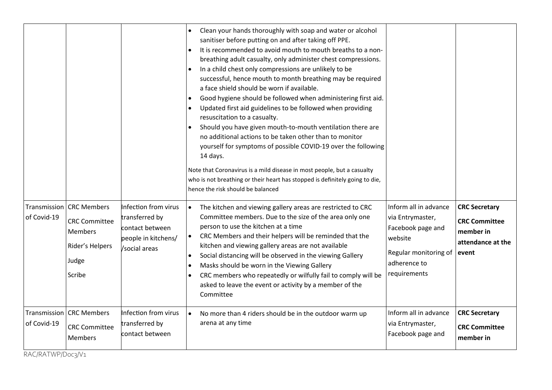| Transmission                | <b>CRC Members</b>                                                           | Infection from virus                                                      | Clean your hands thoroughly with soap and water or alcohol<br>sanitiser before putting on and after taking off PPE.<br>It is recommended to avoid mouth to mouth breaths to a non-<br>breathing adult casualty, only administer chest compressions.<br>In a child chest only compressions are unlikely to be<br>successful, hence mouth to month breathing may be required<br>a face shield should be worn if available.<br>Good hygiene should be followed when administering first aid.<br>$\bullet$<br>Updated first aid guidelines to be followed when providing<br>resuscitation to a casualty.<br>Should you have given mouth-to-mouth ventilation there are<br>no additional actions to be taken other than to monitor<br>yourself for symptoms of possible COVID-19 over the following<br>14 days.<br>Note that Coronavirus is a mild disease in most people, but a casualty<br>who is not breathing or their heart has stopped is definitely going to die,<br>hence the risk should be balanced<br>The kitchen and viewing gallery areas are restricted to CRC<br>$\bullet$ | Inform all in advance                                                                                     | <b>CRC Secretary</b>                                            |
|-----------------------------|------------------------------------------------------------------------------|---------------------------------------------------------------------------|--------------------------------------------------------------------------------------------------------------------------------------------------------------------------------------------------------------------------------------------------------------------------------------------------------------------------------------------------------------------------------------------------------------------------------------------------------------------------------------------------------------------------------------------------------------------------------------------------------------------------------------------------------------------------------------------------------------------------------------------------------------------------------------------------------------------------------------------------------------------------------------------------------------------------------------------------------------------------------------------------------------------------------------------------------------------------------------|-----------------------------------------------------------------------------------------------------------|-----------------------------------------------------------------|
| of Covid-19                 | <b>CRC Committee</b><br><b>Members</b><br>Rider's Helpers<br>Judge<br>Scribe | transferred by<br>contact between<br>people in kitchens/<br>/social areas | Committee members. Due to the size of the area only one<br>person to use the kitchen at a time<br>CRC Members and their helpers will be reminded that the<br>kitchen and viewing gallery areas are not available<br>Social distancing will be observed in the viewing Gallery<br>$\bullet$<br>Masks should be worn in the Viewing Gallery<br>$\bullet$<br>CRC members who repeatedly or wilfully fail to comply will be<br>$\bullet$<br>asked to leave the event or activity by a member of the<br>Committee                                                                                                                                                                                                                                                                                                                                                                                                                                                                                                                                                                         | via Entrymaster,<br>Facebook page and<br>website<br>Regular monitoring of<br>adherence to<br>requirements | <b>CRC Committee</b><br>member in<br>attendance at the<br>event |
| Transmission<br>of Covid-19 | <b>CRC</b> Members<br><b>CRC Committee</b><br><b>Members</b>                 | Infection from virus<br>transferred by<br>contact between                 | No more than 4 riders should be in the outdoor warm up<br>arena at any time                                                                                                                                                                                                                                                                                                                                                                                                                                                                                                                                                                                                                                                                                                                                                                                                                                                                                                                                                                                                          | Inform all in advance<br>via Entrymaster,<br>Facebook page and                                            | <b>CRC Secretary</b><br><b>CRC Committee</b><br>member in       |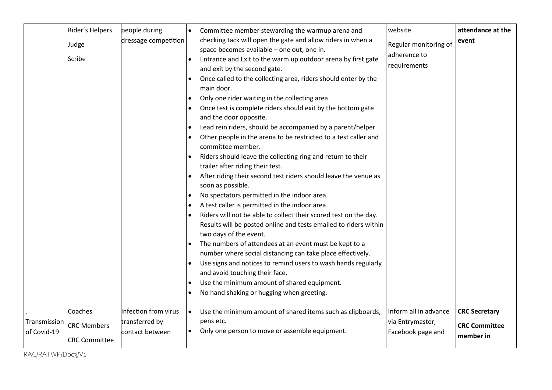|                             | Rider's Helpers<br>Judge<br>Scribe         | people during<br>dressage competition | $\bullet$                           | Committee member stewarding the warmup arena and<br>checking tack will open the gate and allow riders in when a<br>space becomes available - one out, one in.<br>Entrance and Exit to the warm up outdoor arena by first gate<br>and exit by the second gate.<br>Once called to the collecting area, riders should enter by the<br>main door.                                                                                                                                                                                                                                      | website<br>Regular monitoring of<br>adherence to<br>requirements | attendance at the<br>event        |
|-----------------------------|--------------------------------------------|---------------------------------------|-------------------------------------|------------------------------------------------------------------------------------------------------------------------------------------------------------------------------------------------------------------------------------------------------------------------------------------------------------------------------------------------------------------------------------------------------------------------------------------------------------------------------------------------------------------------------------------------------------------------------------|------------------------------------------------------------------|-----------------------------------|
|                             |                                            |                                       | $\bullet$<br>$\bullet$              | Only one rider waiting in the collecting area<br>Once test is complete riders should exit by the bottom gate<br>and the door opposite.<br>Lead rein riders, should be accompanied by a parent/helper<br>Other people in the arena to be restricted to a test caller and<br>committee member.<br>Riders should leave the collecting ring and return to their<br>trailer after riding their test.                                                                                                                                                                                    |                                                                  |                                   |
|                             |                                            |                                       | $\bullet$<br>$\bullet$<br>$\bullet$ | After riding their second test riders should leave the venue as<br>soon as possible.<br>No spectators permitted in the indoor area.<br>A test caller is permitted in the indoor area.<br>Riders will not be able to collect their scored test on the day.<br>Results will be posted online and tests emailed to riders within<br>two days of the event.<br>The numbers of attendees at an event must be kept to a<br>number where social distancing can take place effectively.<br>Use signs and notices to remind users to wash hands regularly<br>and avoid touching their face. |                                                                  |                                   |
|                             | Coaches                                    | nfection from virus                   | $\bullet$<br>$\bullet$              | Use the minimum amount of shared equipment.<br>No hand shaking or hugging when greeting.<br>Use the minimum amount of shared items such as clipboards,                                                                                                                                                                                                                                                                                                                                                                                                                             | Inform all in advance                                            | <b>CRC Secretary</b>              |
| Transmission<br>of Covid-19 | <b>CRC Members</b><br><b>CRC Committee</b> | transferred by<br>contact between     |                                     | pens etc.<br>Only one person to move or assemble equipment.                                                                                                                                                                                                                                                                                                                                                                                                                                                                                                                        | via Entrymaster,<br>Facebook page and                            | <b>CRC Committee</b><br>member in |

RAC/RATWP/Doc3/V1